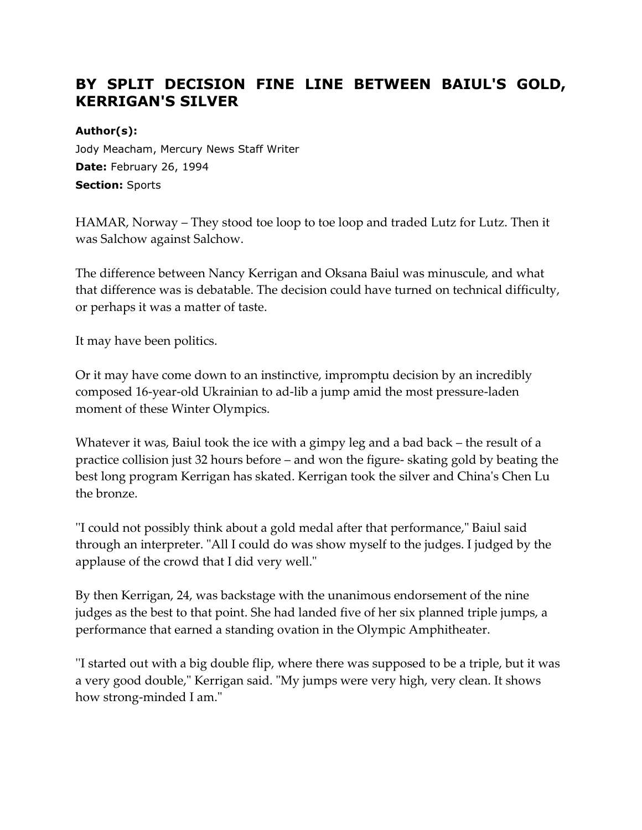# **BY SPLIT DECISION FINE LINE BETWEEN BAIUL'S GOLD, KERRIGAN'S SILVER**

#### **Author(s):**

Jody Meacham, Mercury News Staff Writer **Date:** February 26, 1994 **Section:** Sports

HAMAR, Norway – They stood toe loop to toe loop and traded Lutz for Lutz. Then it was Salchow against Salchow.

The difference between Nancy Kerrigan and Oksana Baiul was minuscule, and what that difference was is debatable. The decision could have turned on technical difficulty, or perhaps it was a matter of taste.

It may have been politics.

Or it may have come down to an instinctive, impromptu decision by an incredibly composed 16-year-old Ukrainian to ad-lib a jump amid the most pressure-laden moment of these Winter Olympics.

Whatever it was, Baiul took the ice with a gimpy leg and a bad back – the result of a practice collision just 32 hours before – and won the figure- skating gold by beating the best long program Kerrigan has skated. Kerrigan took the silver and China's Chen Lu the bronze.

''I could not possibly think about a gold medal after that performance," Baiul said through an interpreter. "All I could do was show myself to the judges. I judged by the applause of the crowd that I did very well."

By then Kerrigan, 24, was backstage with the unanimous endorsement of the nine judges as the best to that point. She had landed five of her six planned triple jumps, a performance that earned a standing ovation in the Olympic Amphitheater.

''I started out with a big double flip, where there was supposed to be a triple, but it was a very good double," Kerrigan said. "My jumps were very high, very clean. It shows how strong-minded I am."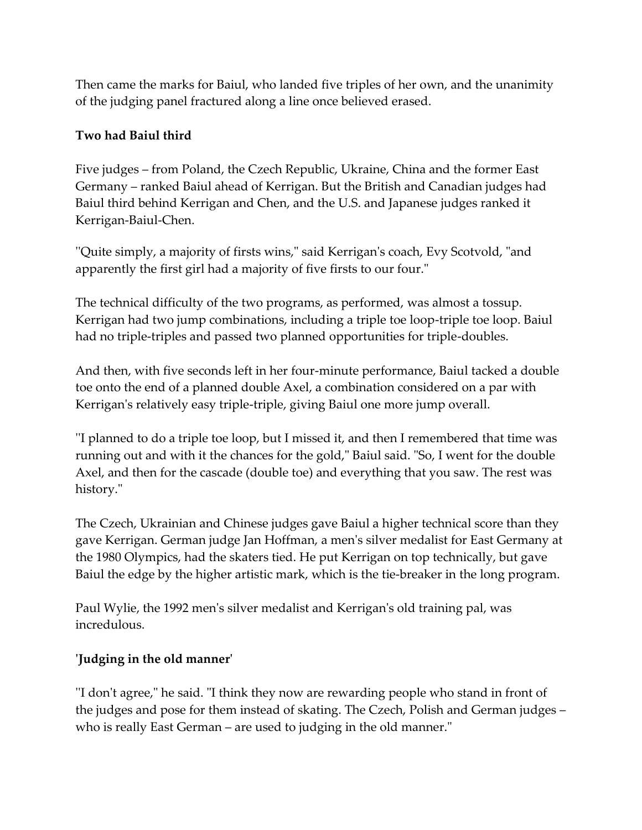Then came the marks for Baiul, who landed five triples of her own, and the unanimity of the judging panel fractured along a line once believed erased.

## **Two had Baiul third**

Five judges – from Poland, the Czech Republic, Ukraine, China and the former East Germany – ranked Baiul ahead of Kerrigan. But the British and Canadian judges had Baiul third behind Kerrigan and Chen, and the U.S. and Japanese judges ranked it Kerrigan-Baiul-Chen.

''Quite simply, a majority of firsts wins," said Kerrigan's coach, Evy Scotvold, "and apparently the first girl had a majority of five firsts to our four."

The technical difficulty of the two programs, as performed, was almost a tossup. Kerrigan had two jump combinations, including a triple toe loop-triple toe loop. Baiul had no triple-triples and passed two planned opportunities for triple-doubles.

And then, with five seconds left in her four-minute performance, Baiul tacked a double toe onto the end of a planned double Axel, a combination considered on a par with Kerrigan's relatively easy triple-triple, giving Baiul one more jump overall.

''I planned to do a triple toe loop, but I missed it, and then I remembered that time was running out and with it the chances for the gold," Baiul said. "So, I went for the double Axel, and then for the cascade (double toe) and everything that you saw. The rest was history."

The Czech, Ukrainian and Chinese judges gave Baiul a higher technical score than they gave Kerrigan. German judge Jan Hoffman, a men's silver medalist for East Germany at the 1980 Olympics, had the skaters tied. He put Kerrigan on top technically, but gave Baiul the edge by the higher artistic mark, which is the tie-breaker in the long program.

Paul Wylie, the 1992 men's silver medalist and Kerrigan's old training pal, was incredulous.

## **'Judging in the old manner'**

''I don't agree," he said. "I think they now are rewarding people who stand in front of the judges and pose for them instead of skating. The Czech, Polish and German judges – who is really East German – are used to judging in the old manner."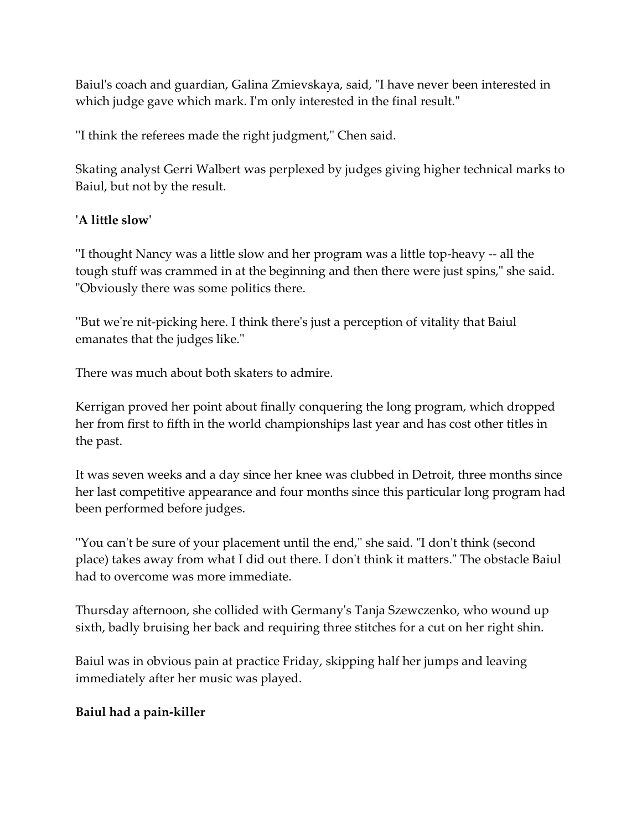Baiul's coach and guardian, Galina Zmievskaya, said, "I have never been interested in which judge gave which mark. I'm only interested in the final result."

''I think the referees made the right judgment," Chen said.

Skating analyst Gerri Walbert was perplexed by judges giving higher technical marks to Baiul, but not by the result.

## **'A little slow'**

''I thought Nancy was a little slow and her program was a little top-heavy -- all the tough stuff was crammed in at the beginning and then there were just spins," she said. "Obviously there was some politics there.

''But we're nit-picking here. I think there's just a perception of vitality that Baiul emanates that the judges like."

There was much about both skaters to admire.

Kerrigan proved her point about finally conquering the long program, which dropped her from first to fifth in the world championships last year and has cost other titles in the past.

It was seven weeks and a day since her knee was clubbed in Detroit, three months since her last competitive appearance and four months since this particular long program had been performed before judges.

''You can't be sure of your placement until the end," she said. "I don't think (second place) takes away from what I did out there. I don't think it matters." The obstacle Baiul had to overcome was more immediate.

Thursday afternoon, she collided with Germany's Tanja Szewczenko, who wound up sixth, badly bruising her back and requiring three stitches for a cut on her right shin.

Baiul was in obvious pain at practice Friday, skipping half her jumps and leaving immediately after her music was played.

# **Baiul had a pain-killer**